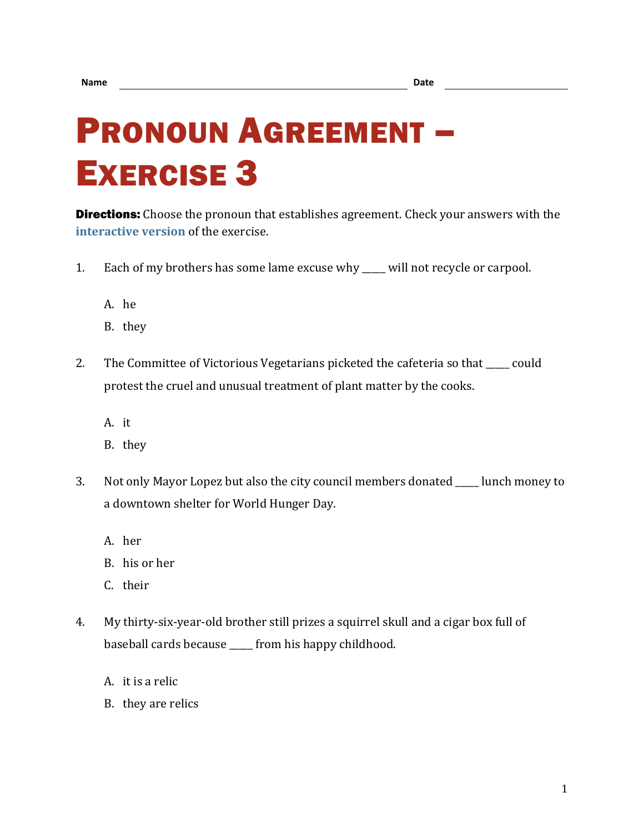## PRONOUN AGREEMENT – EXERCISE 3

**Directions:** Choose the pronoun that establishes agreement. Check your answers with the **[interactive version](https://chompchomp.com/hotpotatoes/proagree03.htm)** of the exercise.

- 1. Each of my brothers has some lame excuse why \_\_\_\_\_ will not recycle or carpool.
	- A. he
	- B. they
- 2. The Committee of Victorious Vegetarians picketed the cafeteria so that \_\_\_\_\_ could protest the cruel and unusual treatment of plant matter by the cooks.
	- A. it
	- B. they
- 3. Not only Mayor Lopez but also the city council members donated lunch money to a downtown shelter for World Hunger Day.
	- A. her
	- B. his or her
	- C. their
- 4. My thirty-six-year-old brother still prizes a squirrel skull and a cigar box full of baseball cards because \_\_\_\_\_ from his happy childhood.
	- A. it is a relic
	- B. they are relics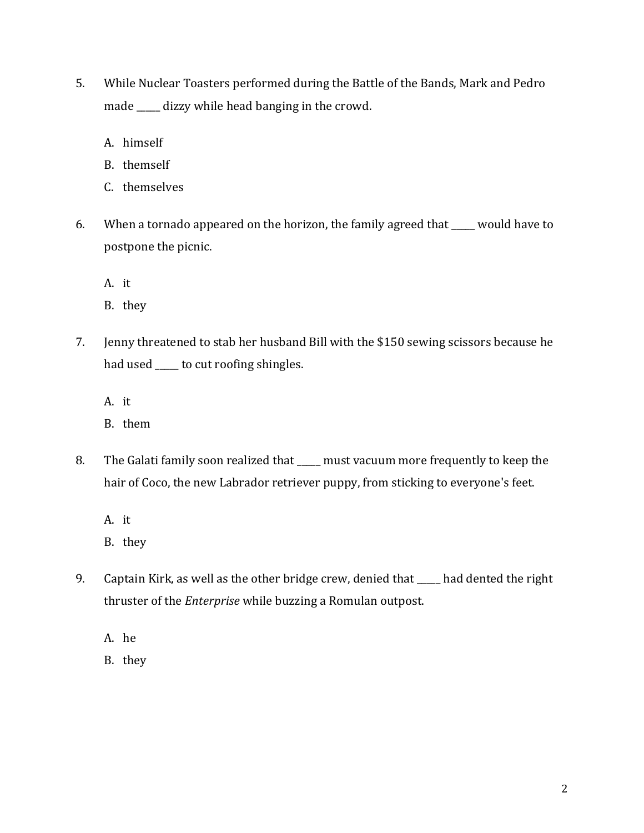- 5. While Nuclear Toasters performed during the Battle of the Bands, Mark and Pedro made \_\_\_\_\_ dizzy while head banging in the crowd.
	- A. himself
	- B. themself
	- C. themselves
- 6. When a tornado appeared on the horizon, the family agreed that \_\_\_\_\_ would have to postpone the picnic.
	- A. it
	- B. they
- 7. Jenny threatened to stab her husband Bill with the \$150 sewing scissors because he had used \_\_\_\_\_ to cut roofing shingles.
	- A. it
	- B. them
- 8. The Galati family soon realized that \_\_\_\_\_ must vacuum more frequently to keep the hair of Coco, the new Labrador retriever puppy, from sticking to everyone's feet.
	- A. it
	- B. they
- 9. Captain Kirk, as well as the other bridge crew, denied that had dented the right thruster of the *Enterprise* while buzzing a Romulan outpost.
	- A. he
	- B. they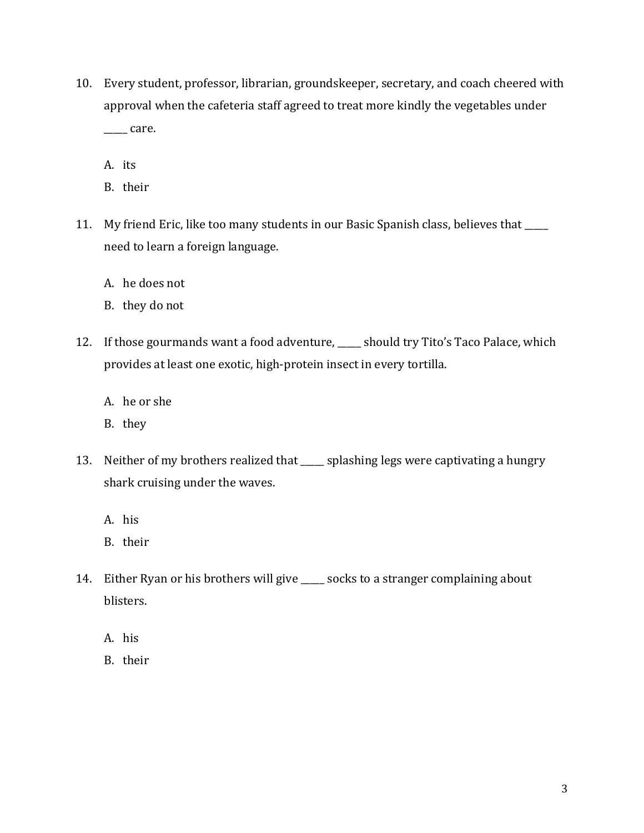- 10. Every student, professor, librarian, groundskeeper, secretary, and coach cheered with approval when the cafeteria staff agreed to treat more kindly the vegetables under  $\rule{1em}{0.15mm}$  care.
	- A. its
	- B. their
- 11. My friend Eric, like too many students in our Basic Spanish class, believes that \_\_\_\_\_ need to learn a foreign language.
	- A. he does not
	- B. they do not
- 12. If those gourmands want a food adventure, \_\_\_\_\_ should try Tito's Taco Palace, which provides at least one exotic, high-protein insect in every tortilla.
	- A. he or she
	- B. they
- 13. Neither of my brothers realized that \_\_\_\_\_ splashing legs were captivating a hungry shark cruising under the waves.
	- A. his
	- B. their
- 14. Either Ryan or his brothers will give \_\_\_\_\_ socks to a stranger complaining about blisters.
	- A. his
	- B. their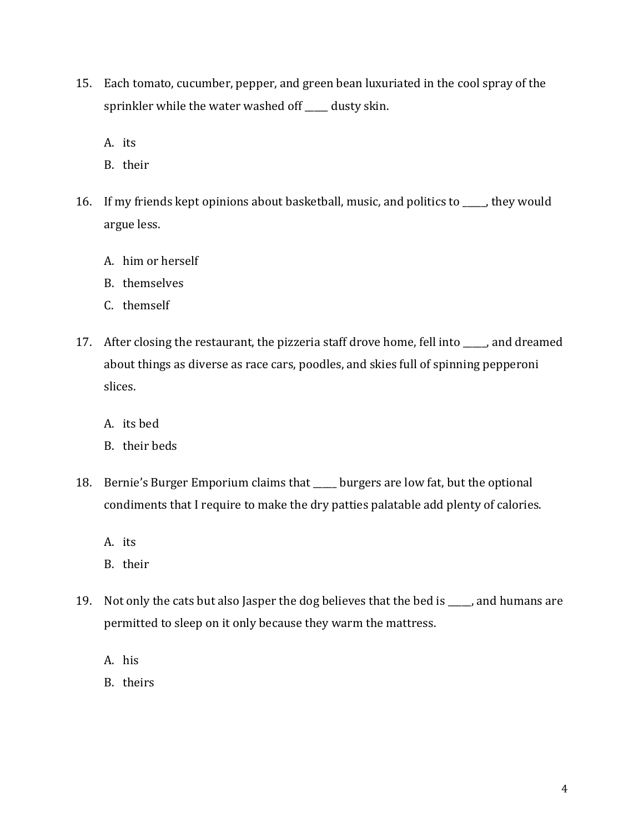- 15. Each tomato, cucumber, pepper, and green bean luxuriated in the cool spray of the sprinkler while the water washed off \_\_\_\_\_ dusty skin.
	- A. its
	- B. their
- 16. If my friends kept opinions about basketball, music, and politics to \_\_\_\_\_, they would argue less.
	- A. him or herself
	- B. themselves
	- C. themself
- 17. After closing the restaurant, the pizzeria staff drove home, fell into and dreamed about things as diverse as race cars, poodles, and skies full of spinning pepperoni slices.
	- A. its bed
	- B. their beds
- 18. Bernie's Burger Emporium claims that \_\_\_\_\_ burgers are low fat, but the optional condiments that I require to make the dry patties palatable add plenty of calories.
	- A. its
	- B. their
- 19. Not only the cats but also Jasper the dog believes that the bed is \_\_\_\_\_, and humans are permitted to sleep on it only because they warm the mattress.
	- A. his
	- B. theirs